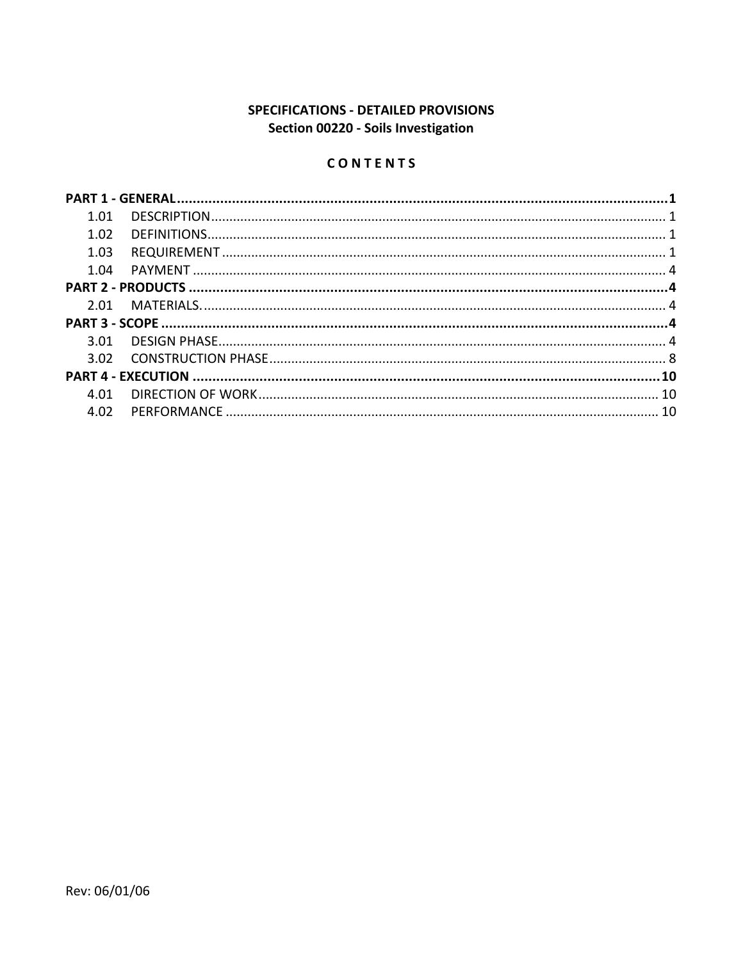# SPECIFICATIONS - DETAILED PROVISIONS Section 00220 - Soils Investigation

# CONTENTS

| 1.01 |  |
|------|--|
| 1.02 |  |
| 1.03 |  |
| 1 በ4 |  |
|      |  |
|      |  |
|      |  |
| 3 O1 |  |
| 3.02 |  |
|      |  |
| 4.01 |  |
| 4.02 |  |
|      |  |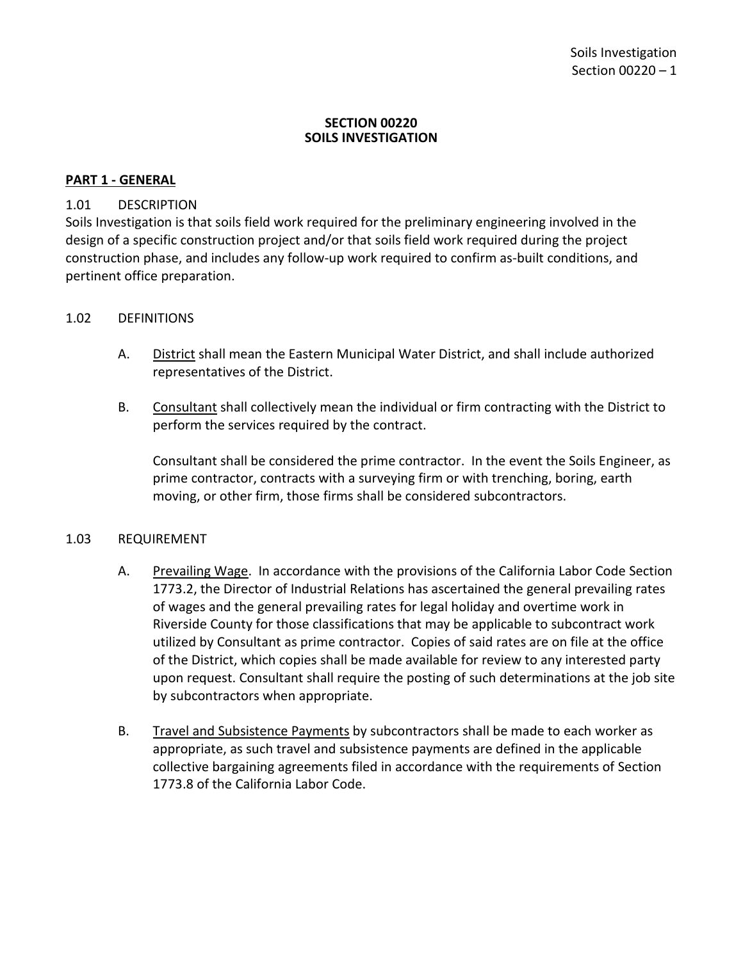#### **SECTION 00220 SOILS INVESTIGATION**

### <span id="page-2-0"></span>**PART 1 - GENERAL**

### <span id="page-2-1"></span>1.01 DESCRIPTION

Soils Investigation is that soils field work required for the preliminary engineering involved in the design of a specific construction project and/or that soils field work required during the project construction phase, and includes any follow-up work required to confirm as-built conditions, and pertinent office preparation.

### <span id="page-2-2"></span>1.02 DEFINITIONS

- A. District shall mean the Eastern Municipal Water District, and shall include authorized representatives of the District.
- B. Consultant shall collectively mean the individual or firm contracting with the District to perform the services required by the contract.

Consultant shall be considered the prime contractor. In the event the Soils Engineer, as prime contractor, contracts with a surveying firm or with trenching, boring, earth moving, or other firm, those firms shall be considered subcontractors.

### <span id="page-2-3"></span>1.03 REQUIREMENT

- A. Prevailing Wage. In accordance with the provisions of the California Labor Code Section 1773.2, the Director of Industrial Relations has ascertained the general prevailing rates of wages and the general prevailing rates for legal holiday and overtime work in Riverside County for those classifications that may be applicable to subcontract work utilized by Consultant as prime contractor. Copies of said rates are on file at the office of the District, which copies shall be made available for review to any interested party upon request. Consultant shall require the posting of such determinations at the job site by subcontractors when appropriate.
- B. Travel and Subsistence Payments by subcontractors shall be made to each worker as appropriate, as such travel and subsistence payments are defined in the applicable collective bargaining agreements filed in accordance with the requirements of Section 1773.8 of the California Labor Code.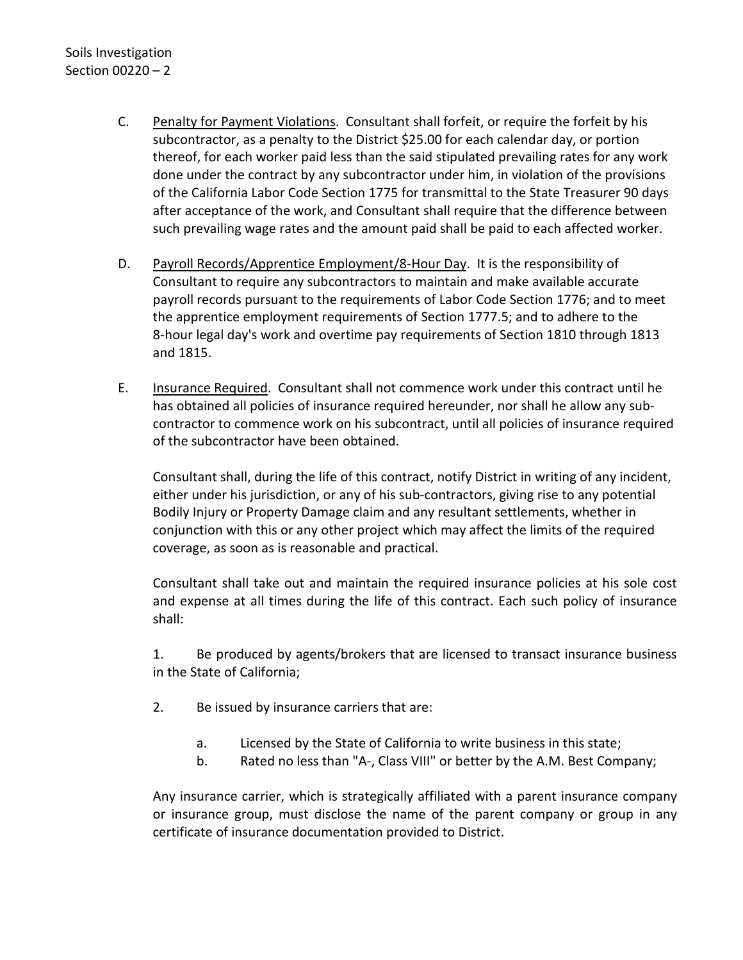- C. Penalty for Payment Violations. Consultant shall forfeit, or require the forfeit by his subcontractor, as a penalty to the District \$25.00 for each calendar day, or portion thereof, for each worker paid less than the said stipulated prevailing rates for any work done under the contract by any subcontractor under him, in violation of the provisions of the California Labor Code Section 1775 for transmittal to the State Treasurer 90 days after acceptance of the work, and Consultant shall require that the difference between such prevailing wage rates and the amount paid shall be paid to each affected worker.
- D. Payroll Records/Apprentice Employment/8-Hour Day. It is the responsibility of Consultant to require any subcontractors to maintain and make available accurate payroll records pursuant to the requirements of Labor Code Section 1776; and to meet the apprentice employment requirements of Section 1777.5; and to adhere to the 8-hour legal day's work and overtime pay requirements of Section 1810 through 1813 and 1815.
- E. Insurance Required. Consultant shall not commence work under this contract until he has obtained all policies of insurance required hereunder, nor shall he allow any subcontractor to commence work on his subcontract, until all policies of insurance required of the subcontractor have been obtained.

Consultant shall, during the life of this contract, notify District in writing of any incident, either under his jurisdiction, or any of his sub-contractors, giving rise to any potential Bodily Injury or Property Damage claim and any resultant settlements, whether in conjunction with this or any other project which may affect the limits of the required coverage, as soon as is reasonable and practical.

Consultant shall take out and maintain the required insurance policies at his sole cost and expense at all times during the life of this contract. Each such policy of insurance shall:

1. Be produced by agents/brokers that are licensed to transact insurance business in the State of California;

- 2. Be issued by insurance carriers that are:
	- a. Licensed by the State of California to write business in this state;
	- b. Rated no less than "A-, Class VIII" or better by the A.M. Best Company;

Any insurance carrier, which is strategically affiliated with a parent insurance company or insurance group, must disclose the name of the parent company or group in any certificate of insurance documentation provided to District.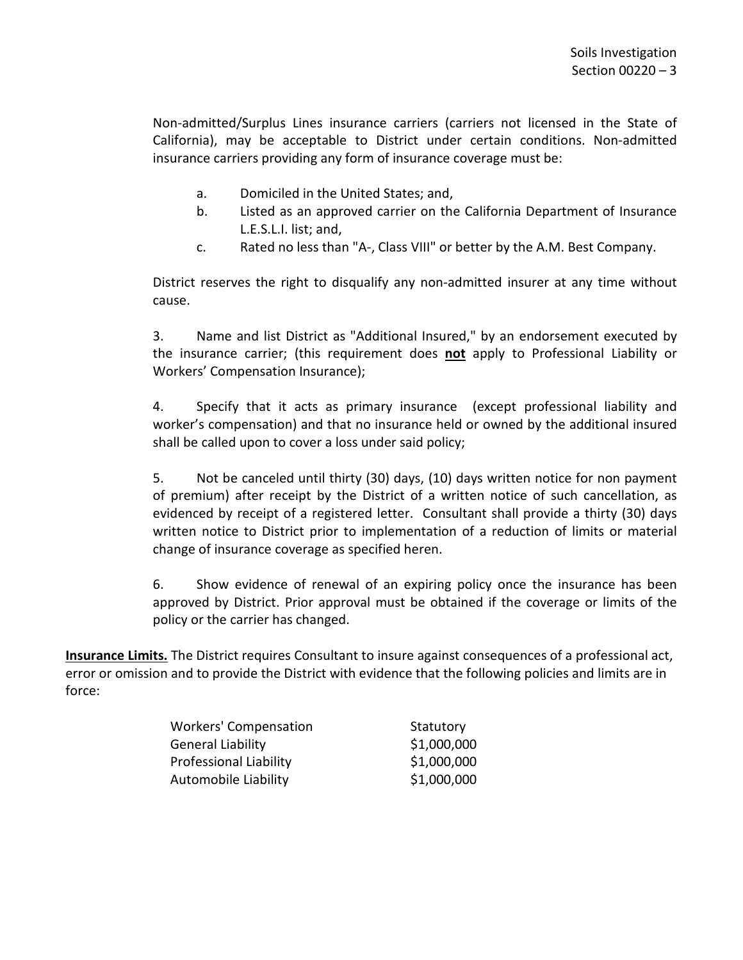Non-admitted/Surplus Lines insurance carriers (carriers not licensed in the State of California), may be acceptable to District under certain conditions. Non-admitted insurance carriers providing any form of insurance coverage must be:

- a. Domiciled in the United States; and,
- b. Listed as an approved carrier on the California Department of Insurance L.E.S.L.I. list; and,
- c. Rated no less than "A-, Class VIII" or better by the A.M. Best Company.

District reserves the right to disqualify any non-admitted insurer at any time without cause.

3. Name and list District as "Additional Insured," by an endorsement executed by the insurance carrier; (this requirement does **not** apply to Professional Liability or Workers' Compensation Insurance);

4. Specify that it acts as primary insurance (except professional liability and worker's compensation) and that no insurance held or owned by the additional insured shall be called upon to cover a loss under said policy;

5. Not be canceled until thirty (30) days, (10) days written notice for non payment of premium) after receipt by the District of a written notice of such cancellation, as evidenced by receipt of a registered letter. Consultant shall provide a thirty (30) days written notice to District prior to implementation of a reduction of limits or material change of insurance coverage as specified heren.

6. Show evidence of renewal of an expiring policy once the insurance has been approved by District. Prior approval must be obtained if the coverage or limits of the policy or the carrier has changed.

**Insurance Limits.** The District requires Consultant to insure against consequences of a professional act, error or omission and to provide the District with evidence that the following policies and limits are in force:

| <b>Workers' Compensation</b>  | Statutory   |
|-------------------------------|-------------|
| <b>General Liability</b>      | \$1,000,000 |
| <b>Professional Liability</b> | \$1,000,000 |
| Automobile Liability          | \$1,000,000 |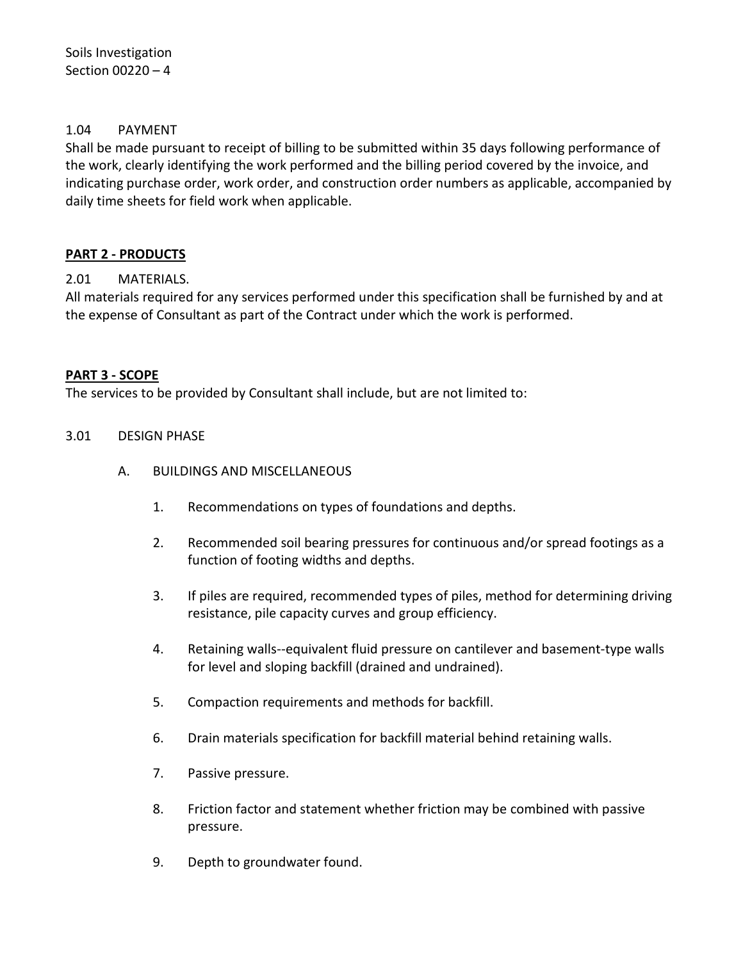## <span id="page-5-0"></span>1.04 PAYMENT

<span id="page-5-1"></span>Shall be made pursuant to receipt of billing to be submitted within 35 days following performance of the work, clearly identifying the work performed and the billing period covered by the invoice, and indicating purchase order, work order, and construction order numbers as applicable, accompanied by daily time sheets for field work when applicable.

## **PART 2 - PRODUCTS**

## <span id="page-5-2"></span>2.01 MATERIALS.

All materials required for any services performed under this specification shall be furnished by and at the expense of Consultant as part of the Contract under which the work is performed.

### <span id="page-5-3"></span>**PART 3 - SCOPE**

The services to be provided by Consultant shall include, but are not limited to:

### <span id="page-5-4"></span>3.01 DESIGN PHASE

- A. BUILDINGS AND MISCELLANEOUS
	- 1. Recommendations on types of foundations and depths.
	- 2. Recommended soil bearing pressures for continuous and/or spread footings as a function of footing widths and depths.
	- 3. If piles are required, recommended types of piles, method for determining driving resistance, pile capacity curves and group efficiency.
	- 4. Retaining walls--equivalent fluid pressure on cantilever and basement-type walls for level and sloping backfill (drained and undrained).
	- 5. Compaction requirements and methods for backfill.
	- 6. Drain materials specification for backfill material behind retaining walls.
	- 7. Passive pressure.
	- 8. Friction factor and statement whether friction may be combined with passive pressure.
	- 9. Depth to groundwater found.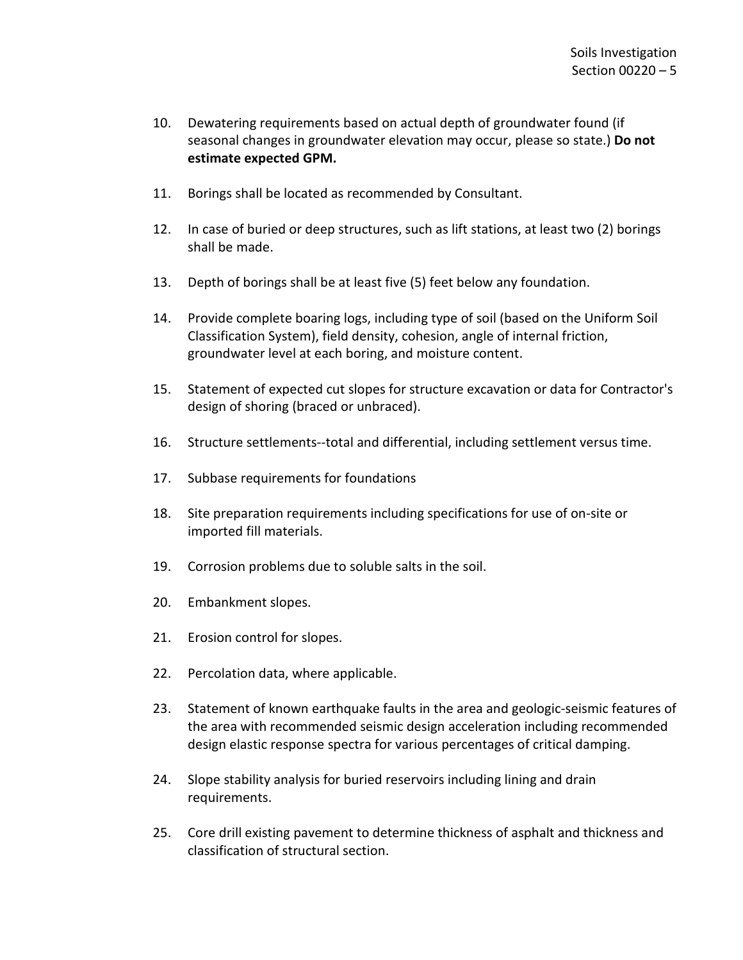- 10. Dewatering requirements based on actual depth of groundwater found (if seasonal changes in groundwater elevation may occur, please so state.) **Do not estimate expected GPM.**
- 11. Borings shall be located as recommended by Consultant.
- 12. In case of buried or deep structures, such as lift stations, at least two (2) borings shall be made.
- 13. Depth of borings shall be at least five (5) feet below any foundation.
- 14. Provide complete boaring logs, including type of soil (based on the Uniform Soil Classification System), field density, cohesion, angle of internal friction, groundwater level at each boring, and moisture content.
- 15. Statement of expected cut slopes for structure excavation or data for Contractor's design of shoring (braced or unbraced).
- 16. Structure settlements--total and differential, including settlement versus time.
- 17. Subbase requirements for foundations
- 18. Site preparation requirements including specifications for use of on-site or imported fill materials.
- 19. Corrosion problems due to soluble salts in the soil.
- 20. Embankment slopes.
- 21. Erosion control for slopes.
- 22. Percolation data, where applicable.
- 23. Statement of known earthquake faults in the area and geologic-seismic features of the area with recommended seismic design acceleration including recommended design elastic response spectra for various percentages of critical damping.
- 24. Slope stability analysis for buried reservoirs including lining and drain requirements.
- 25. Core drill existing pavement to determine thickness of asphalt and thickness and classification of structural section.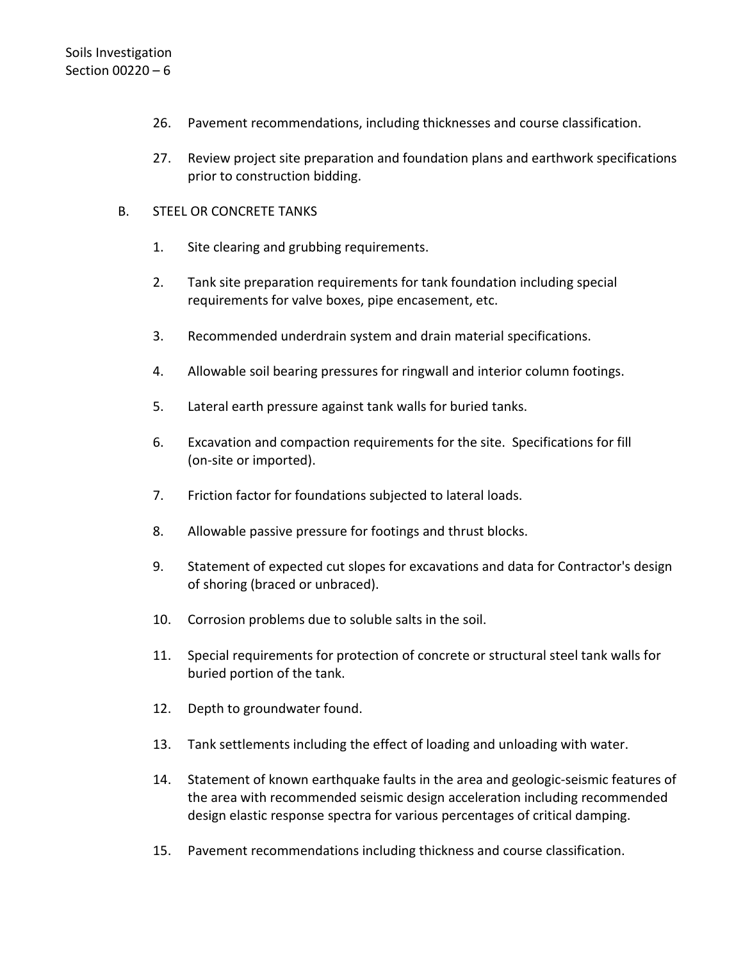- 26. Pavement recommendations, including thicknesses and course classification.
- 27. Review project site preparation and foundation plans and earthwork specifications prior to construction bidding.

### B. STEEL OR CONCRETE TANKS

- 1. Site clearing and grubbing requirements.
- 2. Tank site preparation requirements for tank foundation including special requirements for valve boxes, pipe encasement, etc.
- 3. Recommended underdrain system and drain material specifications.
- 4. Allowable soil bearing pressures for ringwall and interior column footings.
- 5. Lateral earth pressure against tank walls for buried tanks.
- 6. Excavation and compaction requirements for the site. Specifications for fill (on-site or imported).
- 7. Friction factor for foundations subjected to lateral loads.
- 8. Allowable passive pressure for footings and thrust blocks.
- 9. Statement of expected cut slopes for excavations and data for Contractor's design of shoring (braced or unbraced).
- 10. Corrosion problems due to soluble salts in the soil.
- 11. Special requirements for protection of concrete or structural steel tank walls for buried portion of the tank.
- 12. Depth to groundwater found.
- 13. Tank settlements including the effect of loading and unloading with water.
- 14. Statement of known earthquake faults in the area and geologic-seismic features of the area with recommended seismic design acceleration including recommended design elastic response spectra for various percentages of critical damping.
- 15. Pavement recommendations including thickness and course classification.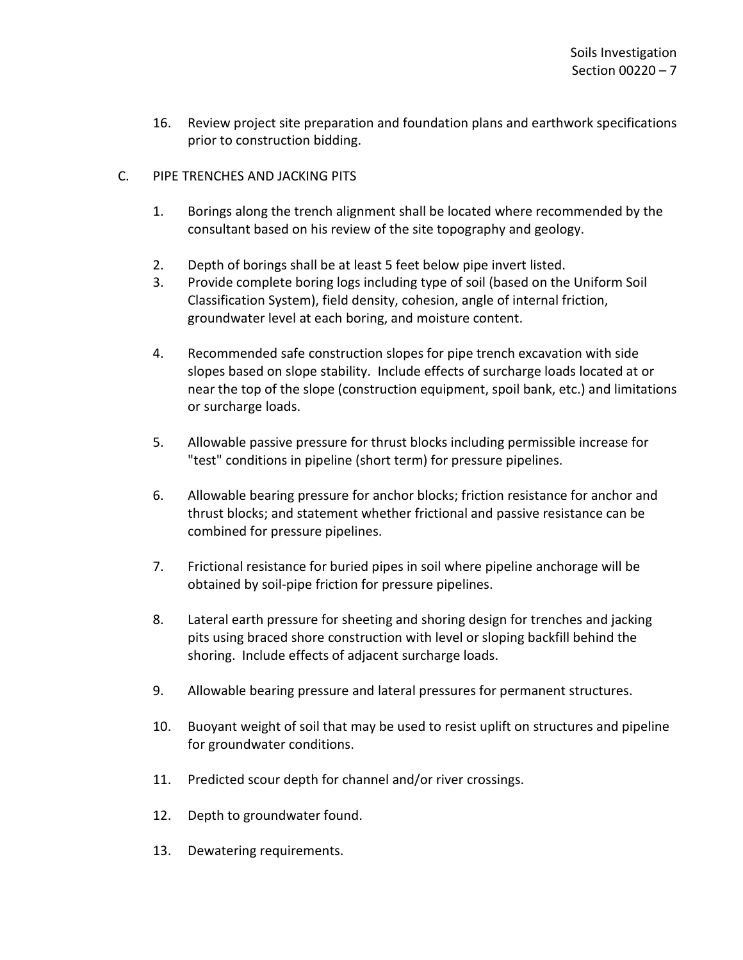- 16. Review project site preparation and foundation plans and earthwork specifications prior to construction bidding.
- C. PIPE TRENCHES AND JACKING PITS
	- 1. Borings along the trench alignment shall be located where recommended by the consultant based on his review of the site topography and geology.
	- 2. Depth of borings shall be at least 5 feet below pipe invert listed.
	- 3. Provide complete boring logs including type of soil (based on the Uniform Soil Classification System), field density, cohesion, angle of internal friction, groundwater level at each boring, and moisture content.
	- 4. Recommended safe construction slopes for pipe trench excavation with side slopes based on slope stability. Include effects of surcharge loads located at or near the top of the slope (construction equipment, spoil bank, etc.) and limitations or surcharge loads.
	- 5. Allowable passive pressure for thrust blocks including permissible increase for "test" conditions in pipeline (short term) for pressure pipelines.
	- 6. Allowable bearing pressure for anchor blocks; friction resistance for anchor and thrust blocks; and statement whether frictional and passive resistance can be combined for pressure pipelines.
	- 7. Frictional resistance for buried pipes in soil where pipeline anchorage will be obtained by soil-pipe friction for pressure pipelines.
	- 8. Lateral earth pressure for sheeting and shoring design for trenches and jacking pits using braced shore construction with level or sloping backfill behind the shoring. Include effects of adjacent surcharge loads.
	- 9. Allowable bearing pressure and lateral pressures for permanent structures.
	- 10. Buoyant weight of soil that may be used to resist uplift on structures and pipeline for groundwater conditions.
	- 11. Predicted scour depth for channel and/or river crossings.
	- 12. Depth to groundwater found.
	- 13. Dewatering requirements.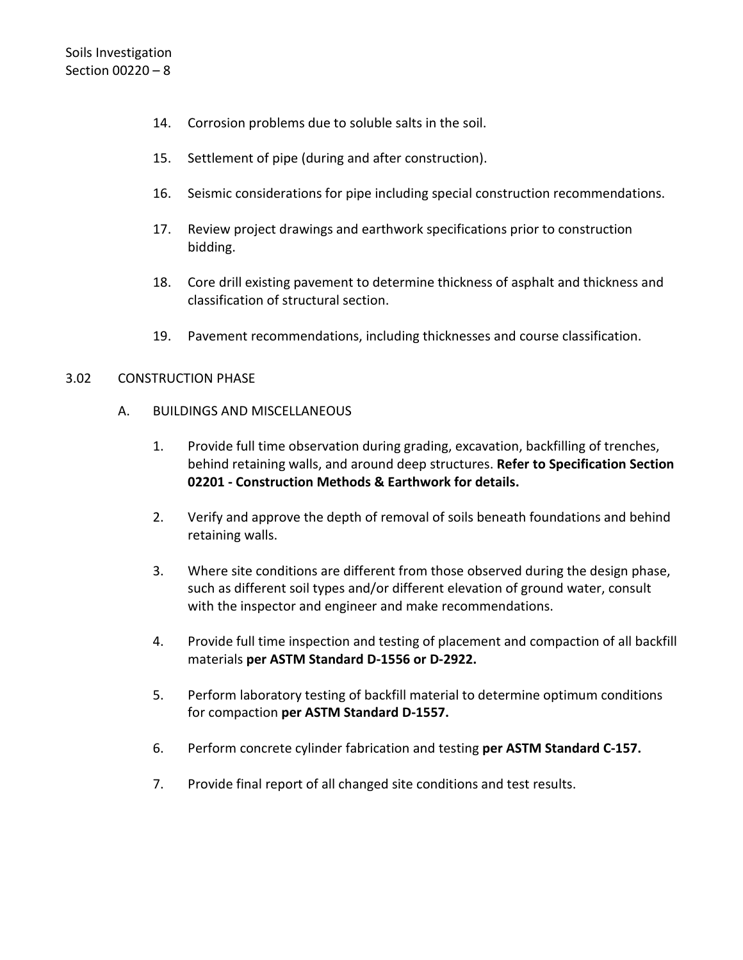- 14. Corrosion problems due to soluble salts in the soil.
- 15. Settlement of pipe (during and after construction).
- 16. Seismic considerations for pipe including special construction recommendations.
- 17. Review project drawings and earthwork specifications prior to construction bidding.
- 18. Core drill existing pavement to determine thickness of asphalt and thickness and classification of structural section.
- 19. Pavement recommendations, including thicknesses and course classification.

### <span id="page-9-0"></span>3.02 CONSTRUCTION PHASE

- A. BUILDINGS AND MISCELLANEOUS
	- 1. Provide full time observation during grading, excavation, backfilling of trenches, behind retaining walls, and around deep structures. **Refer to Specification Section 02201 - Construction Methods & Earthwork for details.**
	- 2. Verify and approve the depth of removal of soils beneath foundations and behind retaining walls.
	- 3. Where site conditions are different from those observed during the design phase, such as different soil types and/or different elevation of ground water, consult with the inspector and engineer and make recommendations.
	- 4. Provide full time inspection and testing of placement and compaction of all backfill materials **per ASTM Standard D-1556 or D-2922.**
	- 5. Perform laboratory testing of backfill material to determine optimum conditions for compaction **per ASTM Standard D-1557.**
	- 6. Perform concrete cylinder fabrication and testing **per ASTM Standard C-157.**
	- 7. Provide final report of all changed site conditions and test results.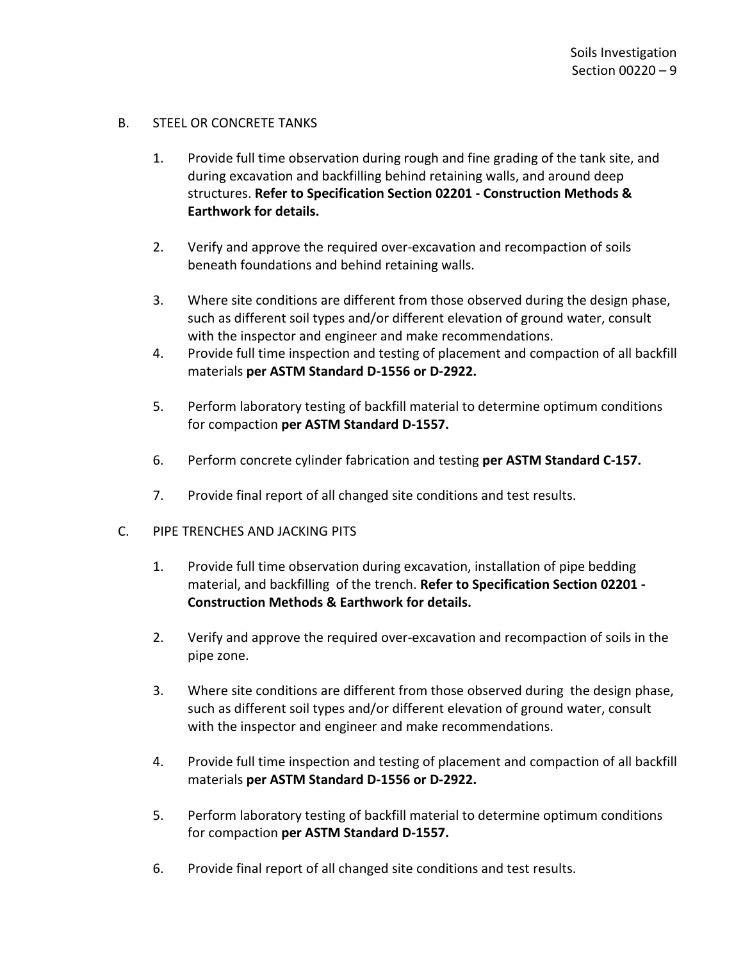### B. STEEL OR CONCRETE TANKS

- 1. Provide full time observation during rough and fine grading of the tank site, and during excavation and backfilling behind retaining walls, and around deep structures. **Refer to Specification Section 02201 - Construction Methods & Earthwork for details.**
- 2. Verify and approve the required over-excavation and recompaction of soils beneath foundations and behind retaining walls.
- 3. Where site conditions are different from those observed during the design phase, such as different soil types and/or different elevation of ground water, consult with the inspector and engineer and make recommendations.
- 4. Provide full time inspection and testing of placement and compaction of all backfill materials **per ASTM Standard D-1556 or D-2922.**
- 5. Perform laboratory testing of backfill material to determine optimum conditions for compaction **per ASTM Standard D-1557.**
- 6. Perform concrete cylinder fabrication and testing **per ASTM Standard C-157.**
- 7. Provide final report of all changed site conditions and test results.
- C. PIPE TRENCHES AND JACKING PITS
	- 1. Provide full time observation during excavation, installation of pipe bedding material, and backfilling of the trench. **Refer to Specification Section 02201 - Construction Methods & Earthwork for details.**
	- 2. Verify and approve the required over-excavation and recompaction of soils in the pipe zone.
	- 3. Where site conditions are different from those observed during the design phase, such as different soil types and/or different elevation of ground water, consult with the inspector and engineer and make recommendations.
	- 4. Provide full time inspection and testing of placement and compaction of all backfill materials **per ASTM Standard D-1556 or D-2922.**
	- 5. Perform laboratory testing of backfill material to determine optimum conditions for compaction **per ASTM Standard D-1557.**
	- 6. Provide final report of all changed site conditions and test results.